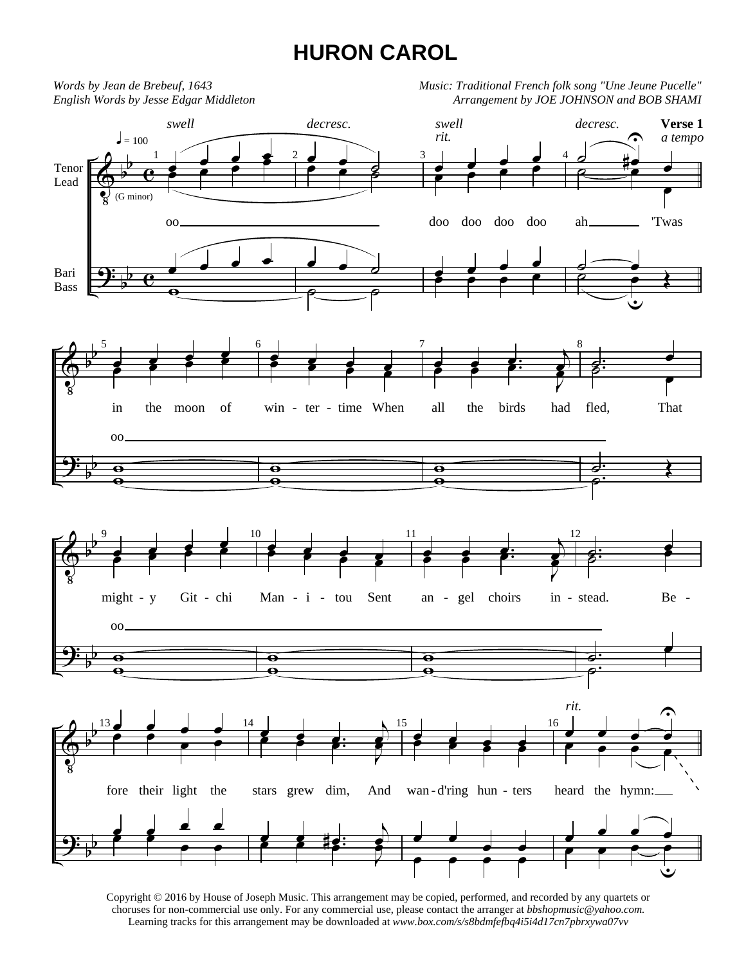## **HURON CAROL**



Copyright © 2016 by House of Joseph Music. This arrangement may be copied, performed, and recorded by any quartets or choruses for non-commercial use only. For any commercial use, please contact the arranger at *bbshopmusic@yahoo.com.* Learning tracks for this arrangement may be downloaded at *www.box.com/s/s8bdmfefbq4i5i4d17cn7pbrxywa07vv*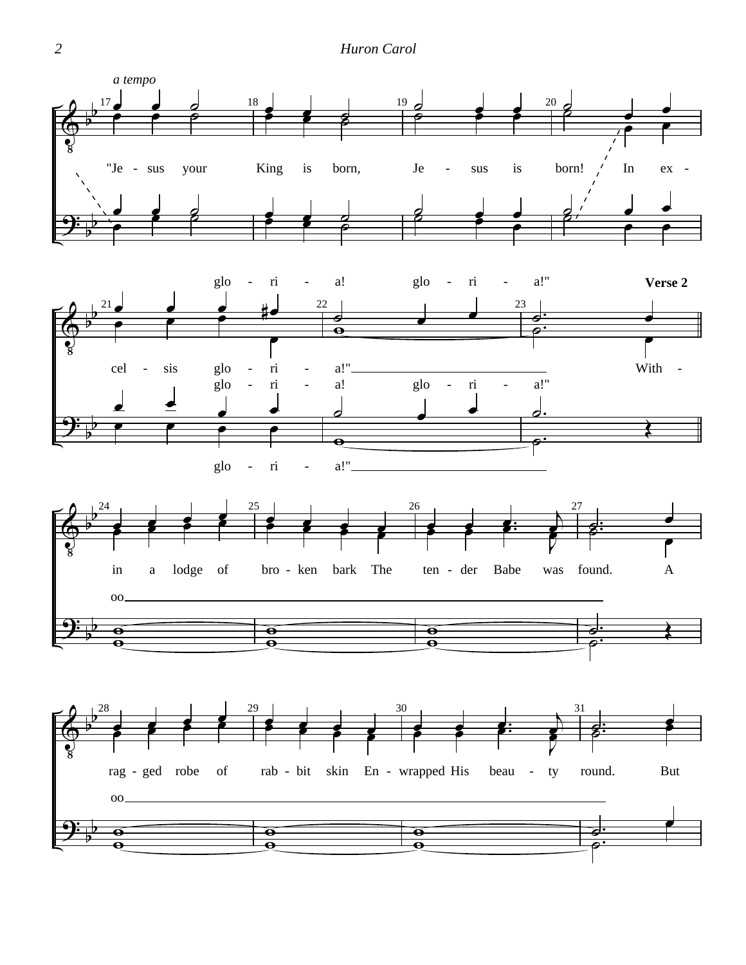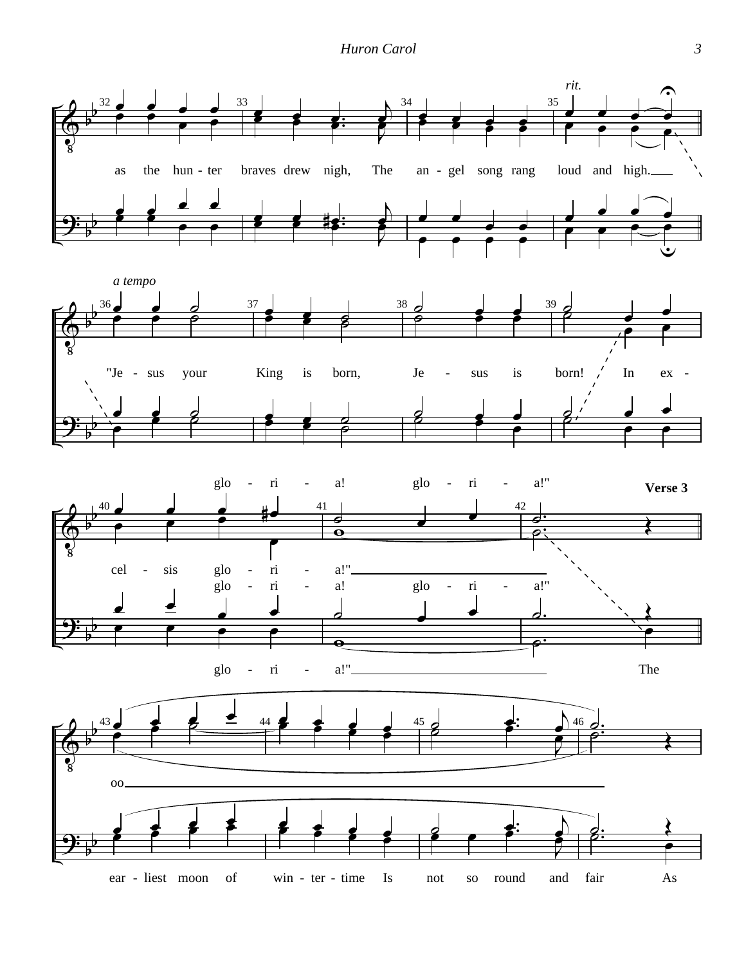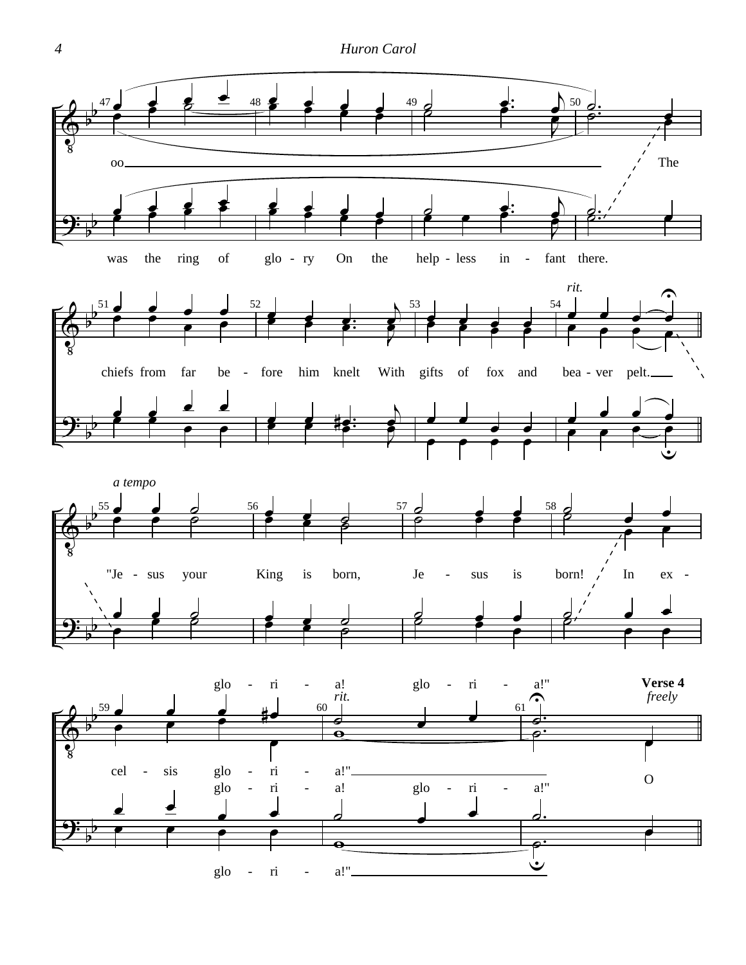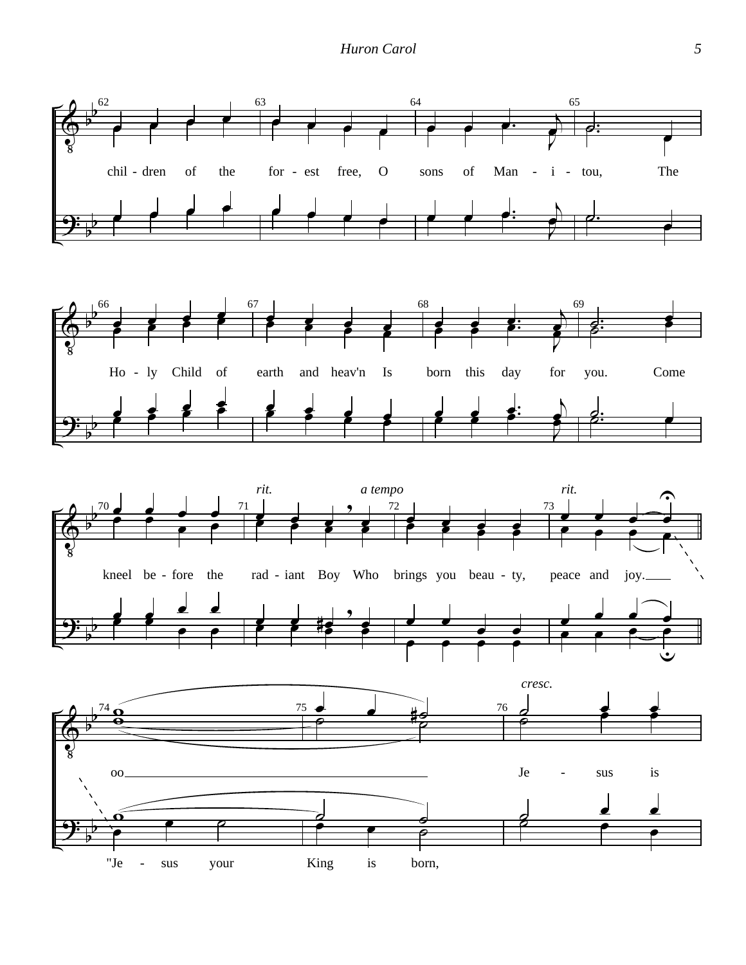